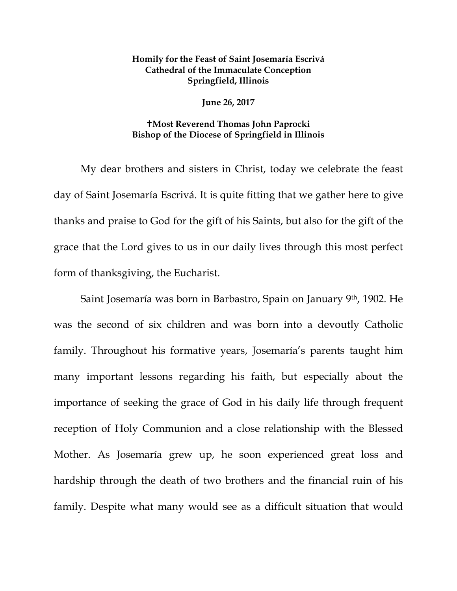## **Homily for the Feast of Saint Josemaría Escrivá Cathedral of the Immaculate Conception Springfield, Illinois**

**June 26, 2017**

## **Most Reverend Thomas John Paprocki Bishop of the Diocese of Springfield in Illinois**

My dear brothers and sisters in Christ, today we celebrate the feast day of Saint Josemaría Escrivá. It is quite fitting that we gather here to give thanks and praise to God for the gift of his Saints, but also for the gift of the grace that the Lord gives to us in our daily lives through this most perfect form of thanksgiving, the Eucharist.

Saint Josemaría was born in Barbastro, Spain on January 9th, 1902. He was the second of six children and was born into a devoutly Catholic family. Throughout his formative years, Josemaría's parents taught him many important lessons regarding his faith, but especially about the importance of seeking the grace of God in his daily life through frequent reception of Holy Communion and a close relationship with the Blessed Mother. As Josemaría grew up, he soon experienced great loss and hardship through the death of two brothers and the financial ruin of his family. Despite what many would see as a difficult situation that would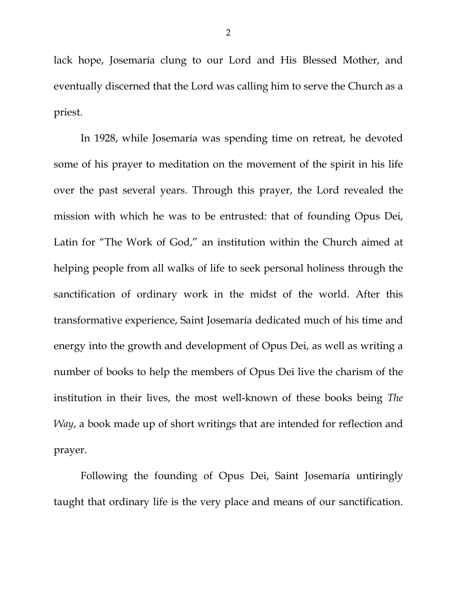lack hope, Josemaría clung to our Lord and His Blessed Mother, and eventually discerned that the Lord was calling him to serve the Church as a priest.

In 1928, while Josemaría was spending time on retreat, he devoted some of his prayer to meditation on the movement of the spirit in his life over the past several years. Through this prayer, the Lord revealed the mission with which he was to be entrusted: that of founding Opus Dei, Latin for "The Work of God," an institution within the Church aimed at helping people from all walks of life to seek personal holiness through the sanctification of ordinary work in the midst of the world. After this transformative experience, Saint Josemaría dedicated much of his time and energy into the growth and development of Opus Dei, as well as writing a number of books to help the members of Opus Dei live the charism of the institution in their lives, the most well-known of these books being *The Way*, a book made up of short writings that are intended for reflection and prayer.

Following the founding of Opus Dei, Saint Josemaría untiringly taught that ordinary life is the very place and means of our sanctification.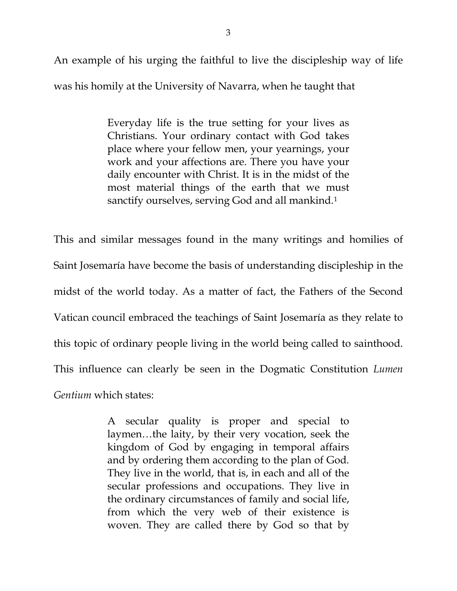An example of his urging the faithful to live the discipleship way of life was his homily at the University of Navarra, when he taught that

> Everyday life is the true setting for your lives as Christians. Your ordinary contact with God takes place where your fellow men, your yearnings, your work and your affections are. There you have your daily encounter with Christ. It is in the midst of the most material things of the earth that we must sanctify ourselves, serving God and all mankind.[1](#page-3-0)

This and similar messages found in the many writings and homilies of Saint Josemaría have become the basis of understanding discipleship in the midst of the world today. As a matter of fact, the Fathers of the Second Vatican council embraced the teachings of Saint Josemaría as they relate to this topic of ordinary people living in the world being called to sainthood. This influence can clearly be seen in the Dogmatic Constitution *Lumen Gentium* which states:

> A secular quality is proper and special to laymen…the laity, by their very vocation, seek the kingdom of God by engaging in temporal affairs and by ordering them according to the plan of God. They live in the world, that is, in each and all of the secular professions and occupations. They live in the ordinary circumstances of family and social life, from which the very web of their existence is woven. They are called there by God so that by